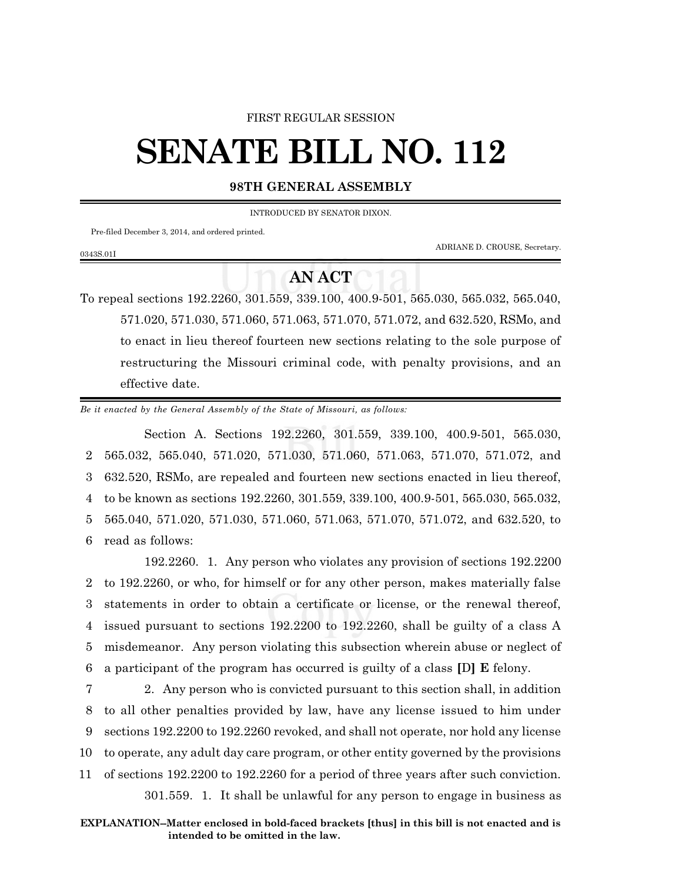## FIRST REGULAR SESSION

## **SENATE BILL NO. 112**

## **98TH GENERAL ASSEMBLY**

INTRODUCED BY SENATOR DIXON.

Pre-filed December 3, 2014, and ordered printed.

0343S.01I

ADRIANE D. CROUSE, Secretary.

## **AN ACT**

To repeal sections 192.2260, 301.559, 339.100, 400.9-501, 565.030, 565.032, 565.040, 571.020, 571.030, 571.060, 571.063, 571.070, 571.072, and 632.520, RSMo, and to enact in lieu thereof fourteen new sections relating to the sole purpose of restructuring the Missouri criminal code, with penalty provisions, and an effective date.

*Be it enacted by the General Assembly of the State of Missouri, as follows:*

Section A. Sections 192.2260, 301.559, 339.100, 400.9-501, 565.030, 565.032, 565.040, 571.020, 571.030, 571.060, 571.063, 571.070, 571.072, and 632.520, RSMo, are repealed and fourteen new sections enacted in lieu thereof, to be known as sections 192.2260, 301.559, 339.100, 400.9-501, 565.030, 565.032, 565.040, 571.020, 571.030, 571.060, 571.063, 571.070, 571.072, and 632.520, to read as follows:

192.2260. 1. Any person who violates any provision of sections 192.2200 to 192.2260, or who, for himself or for any other person, makes materially false statements in order to obtain a certificate or license, or the renewal thereof, issued pursuant to sections 192.2200 to 192.2260, shall be guilty of a class A misdemeanor. Any person violating this subsection wherein abuse or neglect of a participant of the program has occurred is guilty of a class **[**D**] E** felony.

 2. Any person who is convicted pursuant to this section shall, in addition to all other penalties provided by law, have any license issued to him under sections 192.2200 to 192.2260 revoked, and shall not operate, nor hold any license to operate, any adult day care program, or other entity governed by the provisions of sections 192.2200 to 192.2260 for a period of three years after such conviction.

301.559. 1. It shall be unlawful for any person to engage in business as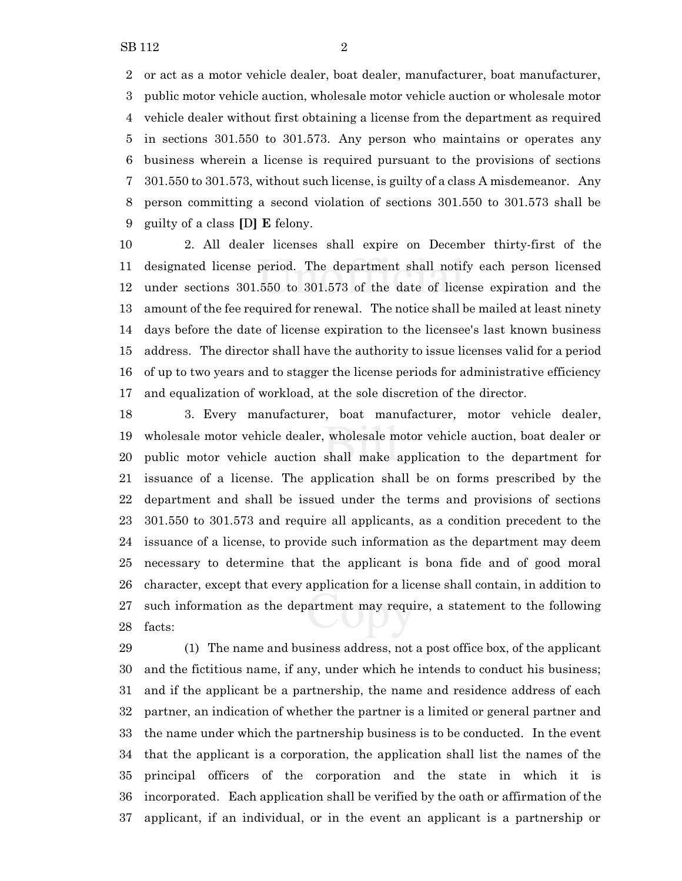or act as a motor vehicle dealer, boat dealer, manufacturer, boat manufacturer, public motor vehicle auction, wholesale motor vehicle auction or wholesale motor vehicle dealer without first obtaining a license from the department as required in sections 301.550 to 301.573. Any person who maintains or operates any business wherein a license is required pursuant to the provisions of sections 301.550 to 301.573, without such license, is guilty of a class A misdemeanor. Any person committing a second violation of sections 301.550 to 301.573 shall be guilty of a class **[**D**] E** felony.

 2. All dealer licenses shall expire on December thirty-first of the designated license period. The department shall notify each person licensed under sections 301.550 to 301.573 of the date of license expiration and the amount of the fee required for renewal. The notice shall be mailed at least ninety days before the date of license expiration to the licensee's last known business address. The director shall have the authority to issue licenses valid for a period of up to two years and to stagger the license periods for administrative efficiency and equalization of workload, at the sole discretion of the director.

 3. Every manufacturer, boat manufacturer, motor vehicle dealer, wholesale motor vehicle dealer, wholesale motor vehicle auction, boat dealer or public motor vehicle auction shall make application to the department for issuance of a license. The application shall be on forms prescribed by the department and shall be issued under the terms and provisions of sections 301.550 to 301.573 and require all applicants, as a condition precedent to the issuance of a license, to provide such information as the department may deem necessary to determine that the applicant is bona fide and of good moral character, except that every application for a license shall contain, in addition to such information as the department may require, a statement to the following facts:

 (1) The name and business address, not a post office box, of the applicant and the fictitious name, if any, under which he intends to conduct his business; and if the applicant be a partnership, the name and residence address of each partner, an indication of whether the partner is a limited or general partner and the name under which the partnership business is to be conducted. In the event that the applicant is a corporation, the application shall list the names of the principal officers of the corporation and the state in which it is incorporated. Each application shall be verified by the oath or affirmation of the applicant, if an individual, or in the event an applicant is a partnership or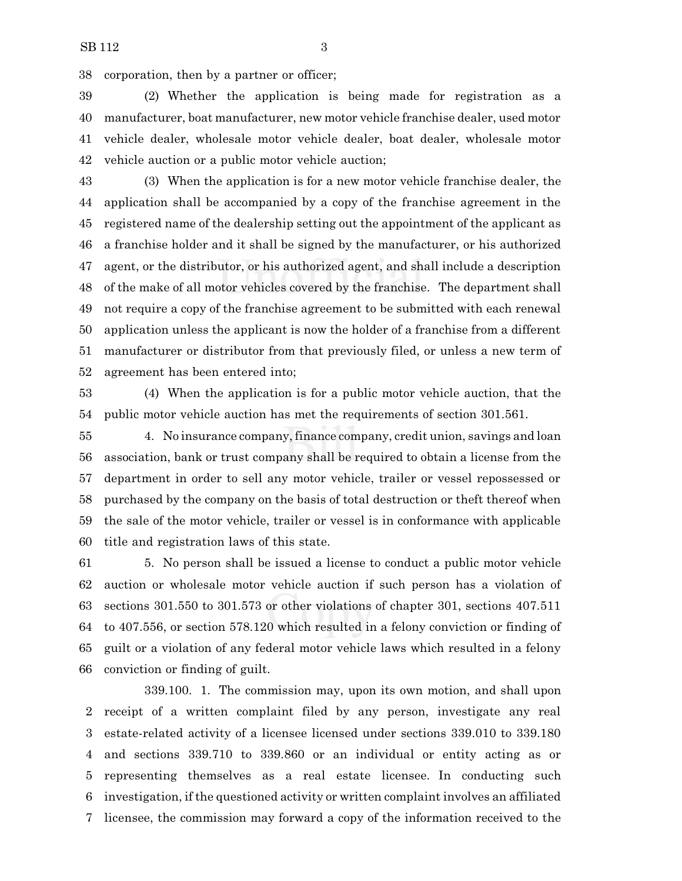corporation, then by a partner or officer;

 (2) Whether the application is being made for registration as a manufacturer, boat manufacturer, new motor vehicle franchise dealer, used motor vehicle dealer, wholesale motor vehicle dealer, boat dealer, wholesale motor vehicle auction or a public motor vehicle auction;

 (3) When the application is for a new motor vehicle franchise dealer, the application shall be accompanied by a copy of the franchise agreement in the registered name of the dealership setting out the appointment of the applicant as a franchise holder and it shall be signed by the manufacturer, or his authorized agent, or the distributor, or his authorized agent, and shall include a description of the make of all motor vehicles covered by the franchise. The department shall not require a copy of the franchise agreement to be submitted with each renewal application unless the applicant is now the holder of a franchise from a different manufacturer or distributor from that previously filed, or unless a new term of agreement has been entered into;

 (4) When the application is for a public motor vehicle auction, that the public motor vehicle auction has met the requirements of section 301.561.

 4. No insurance company, finance company, credit union, savings and loan association, bank or trust company shall be required to obtain a license from the department in order to sell any motor vehicle, trailer or vessel repossessed or purchased by the company on the basis of total destruction or theft thereof when the sale of the motor vehicle, trailer or vessel is in conformance with applicable title and registration laws of this state.

 5. No person shall be issued a license to conduct a public motor vehicle auction or wholesale motor vehicle auction if such person has a violation of sections 301.550 to 301.573 or other violations of chapter 301, sections 407.511 to 407.556, or section 578.120 which resulted in a felony conviction or finding of guilt or a violation of any federal motor vehicle laws which resulted in a felony conviction or finding of guilt.

339.100. 1. The commission may, upon its own motion, and shall upon receipt of a written complaint filed by any person, investigate any real estate-related activity of a licensee licensed under sections 339.010 to 339.180 and sections 339.710 to 339.860 or an individual or entity acting as or representing themselves as a real estate licensee. In conducting such investigation, if the questioned activity or written complaint involves an affiliated licensee, the commission may forward a copy of the information received to the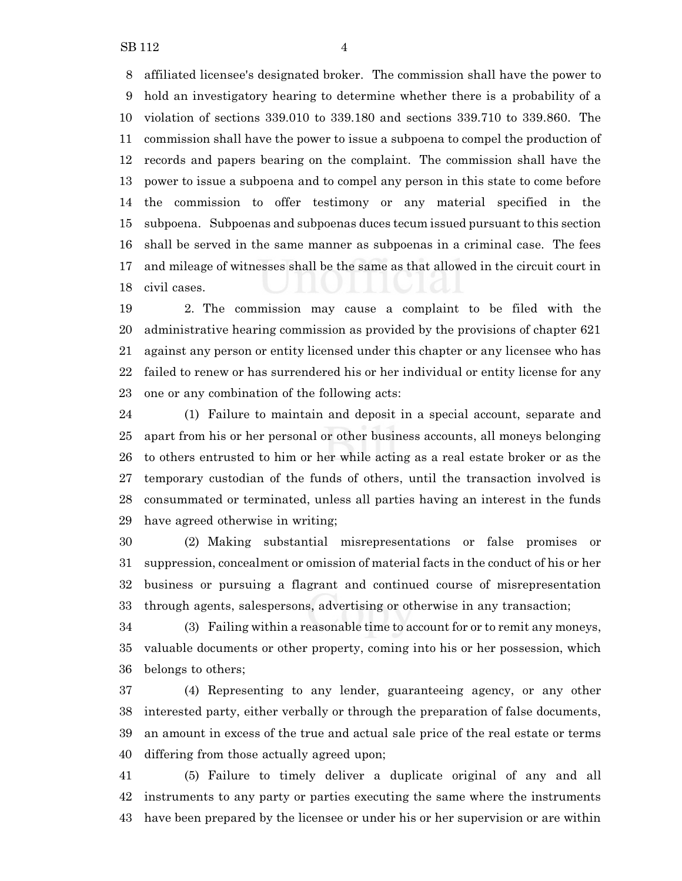affiliated licensee's designated broker. The commission shall have the power to hold an investigatory hearing to determine whether there is a probability of a violation of sections 339.010 to 339.180 and sections 339.710 to 339.860. The commission shall have the power to issue a subpoena to compel the production of records and papers bearing on the complaint. The commission shall have the power to issue a subpoena and to compel any person in this state to come before the commission to offer testimony or any material specified in the subpoena. Subpoenas and subpoenas duces tecum issued pursuant to this section shall be served in the same manner as subpoenas in a criminal case. The fees and mileage of witnesses shall be the same as that allowed in the circuit court in civil cases.

 2. The commission may cause a complaint to be filed with the administrative hearing commission as provided by the provisions of chapter 621 against any person or entity licensed under this chapter or any licensee who has failed to renew or has surrendered his or her individual or entity license for any one or any combination of the following acts:

 (1) Failure to maintain and deposit in a special account, separate and apart from his or her personal or other business accounts, all moneys belonging to others entrusted to him or her while acting as a real estate broker or as the temporary custodian of the funds of others, until the transaction involved is consummated or terminated, unless all parties having an interest in the funds have agreed otherwise in writing;

 (2) Making substantial misrepresentations or false promises or suppression, concealment or omission of material facts in the conduct of his or her business or pursuing a flagrant and continued course of misrepresentation through agents, salespersons, advertising or otherwise in any transaction;

 (3) Failing within a reasonable time to account for or to remit any moneys, valuable documents or other property, coming into his or her possession, which belongs to others;

 (4) Representing to any lender, guaranteeing agency, or any other interested party, either verbally or through the preparation of false documents, an amount in excess of the true and actual sale price of the real estate or terms differing from those actually agreed upon;

 (5) Failure to timely deliver a duplicate original of any and all instruments to any party or parties executing the same where the instruments have been prepared by the licensee or under his or her supervision or are within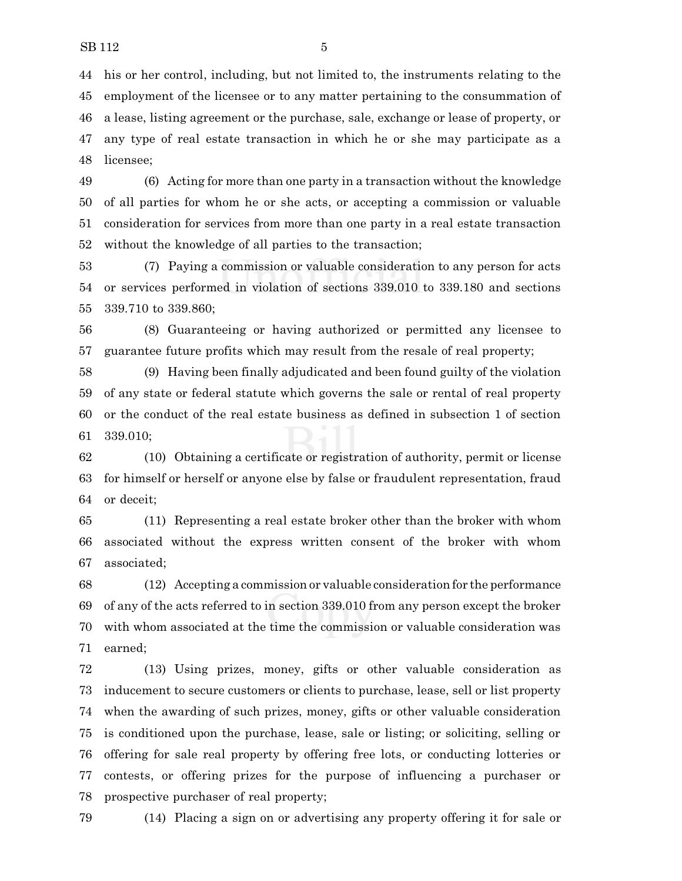his or her control, including, but not limited to, the instruments relating to the employment of the licensee or to any matter pertaining to the consummation of a lease, listing agreement or the purchase, sale, exchange or lease of property, or any type of real estate transaction in which he or she may participate as a licensee;

 (6) Acting for more than one party in a transaction without the knowledge of all parties for whom he or she acts, or accepting a commission or valuable consideration for services from more than one party in a real estate transaction without the knowledge of all parties to the transaction;

 (7) Paying a commission or valuable consideration to any person for acts or services performed in violation of sections 339.010 to 339.180 and sections 339.710 to 339.860;

 (8) Guaranteeing or having authorized or permitted any licensee to guarantee future profits which may result from the resale of real property;

 (9) Having been finally adjudicated and been found guilty of the violation of any state or federal statute which governs the sale or rental of real property or the conduct of the real estate business as defined in subsection 1 of section 339.010;

 (10) Obtaining a certificate or registration of authority, permit or license for himself or herself or anyone else by false or fraudulent representation, fraud or deceit;

 (11) Representing a real estate broker other than the broker with whom associated without the express written consent of the broker with whom associated;

 (12) Accepting a commission or valuable consideration for the performance of any of the acts referred to in section 339.010 from any person except the broker with whom associated at the time the commission or valuable consideration was earned;

 (13) Using prizes, money, gifts or other valuable consideration as inducement to secure customers or clients to purchase, lease, sell or list property when the awarding of such prizes, money, gifts or other valuable consideration is conditioned upon the purchase, lease, sale or listing; or soliciting, selling or offering for sale real property by offering free lots, or conducting lotteries or contests, or offering prizes for the purpose of influencing a purchaser or prospective purchaser of real property;

(14) Placing a sign on or advertising any property offering it for sale or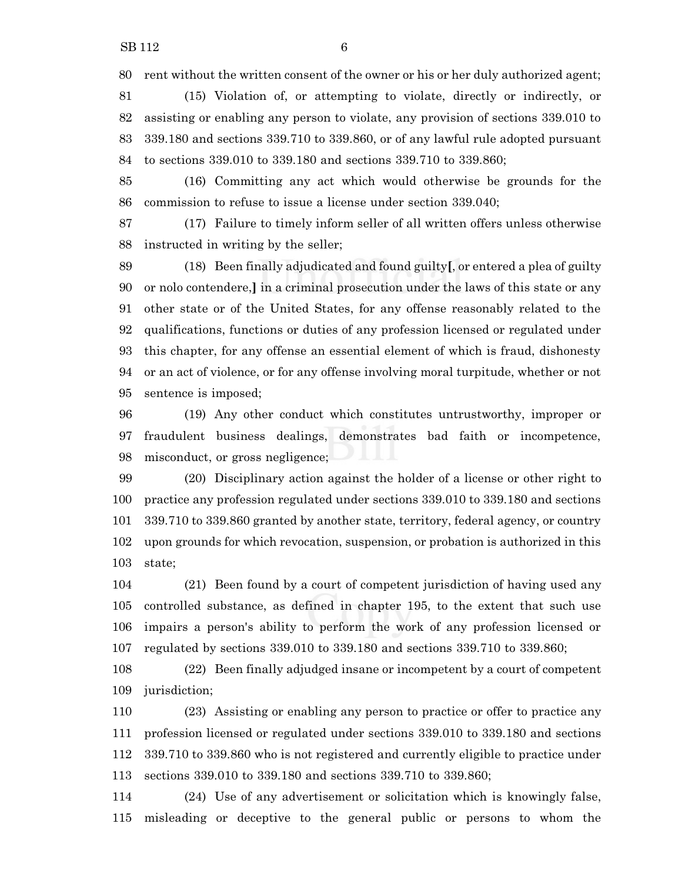rent without the written consent of the owner or his or her duly authorized agent;

 (15) Violation of, or attempting to violate, directly or indirectly, or assisting or enabling any person to violate, any provision of sections 339.010 to 339.180 and sections 339.710 to 339.860, or of any lawful rule adopted pursuant to sections 339.010 to 339.180 and sections 339.710 to 339.860;

 (16) Committing any act which would otherwise be grounds for the commission to refuse to issue a license under section 339.040;

 (17) Failure to timely inform seller of all written offers unless otherwise instructed in writing by the seller;

 (18) Been finally adjudicated and found guilty**[**, or entered a plea of guilty or nolo contendere,**]** in a criminal prosecution under the laws of this state or any other state or of the United States, for any offense reasonably related to the qualifications, functions or duties of any profession licensed or regulated under this chapter, for any offense an essential element of which is fraud, dishonesty or an act of violence, or for any offense involving moral turpitude, whether or not sentence is imposed;

 (19) Any other conduct which constitutes untrustworthy, improper or fraudulent business dealings, demonstrates bad faith or incompetence, misconduct, or gross negligence;

 (20) Disciplinary action against the holder of a license or other right to practice any profession regulated under sections 339.010 to 339.180 and sections 339.710 to 339.860 granted by another state, territory, federal agency, or country upon grounds for which revocation, suspension, or probation is authorized in this state;

 (21) Been found by a court of competent jurisdiction of having used any controlled substance, as defined in chapter 195, to the extent that such use impairs a person's ability to perform the work of any profession licensed or regulated by sections 339.010 to 339.180 and sections 339.710 to 339.860;

 (22) Been finally adjudged insane or incompetent by a court of competent jurisdiction;

 (23) Assisting or enabling any person to practice or offer to practice any profession licensed or regulated under sections 339.010 to 339.180 and sections 339.710 to 339.860 who is not registered and currently eligible to practice under sections 339.010 to 339.180 and sections 339.710 to 339.860;

 (24) Use of any advertisement or solicitation which is knowingly false, misleading or deceptive to the general public or persons to whom the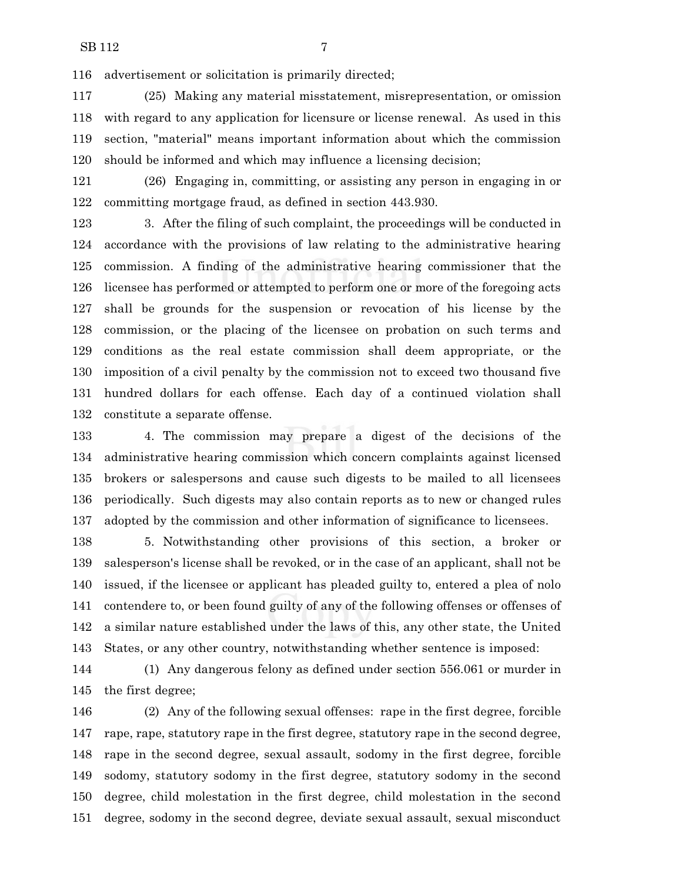advertisement or solicitation is primarily directed;

 (25) Making any material misstatement, misrepresentation, or omission with regard to any application for licensure or license renewal. As used in this section, "material" means important information about which the commission should be informed and which may influence a licensing decision;

 (26) Engaging in, committing, or assisting any person in engaging in or committing mortgage fraud, as defined in section 443.930.

 3. After the filing of such complaint, the proceedings will be conducted in accordance with the provisions of law relating to the administrative hearing commission. A finding of the administrative hearing commissioner that the licensee has performed or attempted to perform one or more of the foregoing acts shall be grounds for the suspension or revocation of his license by the commission, or the placing of the licensee on probation on such terms and conditions as the real estate commission shall deem appropriate, or the imposition of a civil penalty by the commission not to exceed two thousand five hundred dollars for each offense. Each day of a continued violation shall constitute a separate offense.

 4. The commission may prepare a digest of the decisions of the administrative hearing commission which concern complaints against licensed brokers or salespersons and cause such digests to be mailed to all licensees periodically. Such digests may also contain reports as to new or changed rules adopted by the commission and other information of significance to licensees.

 5. Notwithstanding other provisions of this section, a broker or salesperson's license shall be revoked, or in the case of an applicant, shall not be issued, if the licensee or applicant has pleaded guilty to, entered a plea of nolo contendere to, or been found guilty of any of the following offenses or offenses of a similar nature established under the laws of this, any other state, the United States, or any other country, notwithstanding whether sentence is imposed:

 (1) Any dangerous felony as defined under section 556.061 or murder in the first degree;

 (2) Any of the following sexual offenses: rape in the first degree, forcible rape, rape, statutory rape in the first degree, statutory rape in the second degree, rape in the second degree, sexual assault, sodomy in the first degree, forcible sodomy, statutory sodomy in the first degree, statutory sodomy in the second degree, child molestation in the first degree, child molestation in the second degree, sodomy in the second degree, deviate sexual assault, sexual misconduct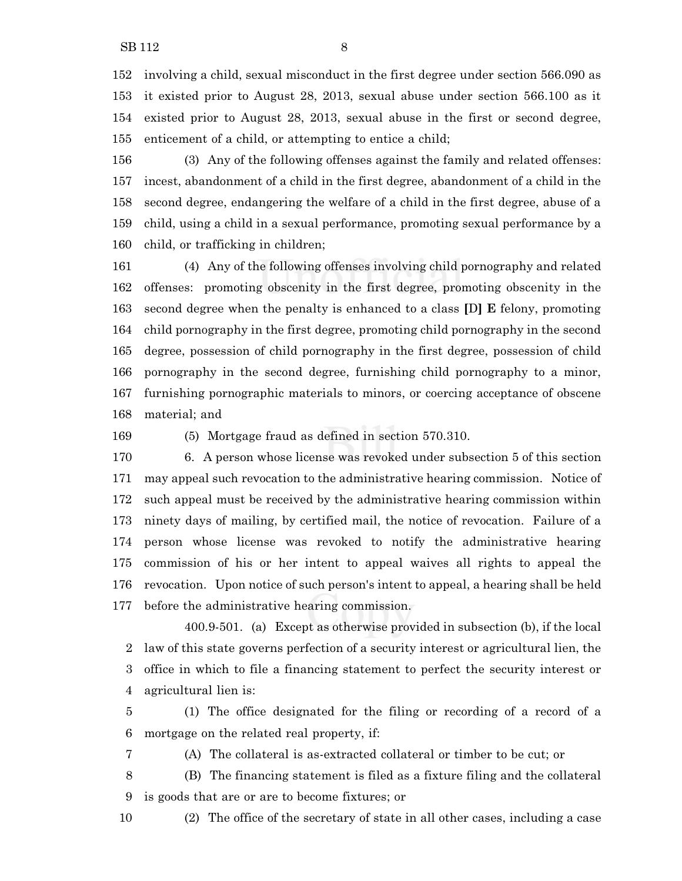involving a child, sexual misconduct in the first degree under section 566.090 as it existed prior to August 28, 2013, sexual abuse under section 566.100 as it existed prior to August 28, 2013, sexual abuse in the first or second degree, enticement of a child, or attempting to entice a child;

 (3) Any of the following offenses against the family and related offenses: incest, abandonment of a child in the first degree, abandonment of a child in the second degree, endangering the welfare of a child in the first degree, abuse of a child, using a child in a sexual performance, promoting sexual performance by a child, or trafficking in children;

 (4) Any of the following offenses involving child pornography and related offenses: promoting obscenity in the first degree, promoting obscenity in the second degree when the penalty is enhanced to a class **[**D**] E** felony, promoting child pornography in the first degree, promoting child pornography in the second degree, possession of child pornography in the first degree, possession of child pornography in the second degree, furnishing child pornography to a minor, furnishing pornographic materials to minors, or coercing acceptance of obscene material; and

(5) Mortgage fraud as defined in section 570.310.

 6. A person whose license was revoked under subsection 5 of this section may appeal such revocation to the administrative hearing commission. Notice of such appeal must be received by the administrative hearing commission within ninety days of mailing, by certified mail, the notice of revocation. Failure of a person whose license was revoked to notify the administrative hearing commission of his or her intent to appeal waives all rights to appeal the revocation. Upon notice of such person's intent to appeal, a hearing shall be held before the administrative hearing commission.

400.9-501. (a) Except as otherwise provided in subsection (b), if the local law of this state governs perfection of a security interest or agricultural lien, the office in which to file a financing statement to perfect the security interest or agricultural lien is:

 (1) The office designated for the filing or recording of a record of a mortgage on the related real property, if:

(A) The collateral is as-extracted collateral or timber to be cut; or

 (B) The financing statement is filed as a fixture filing and the collateral is goods that are or are to become fixtures; or

(2) The office of the secretary of state in all other cases, including a case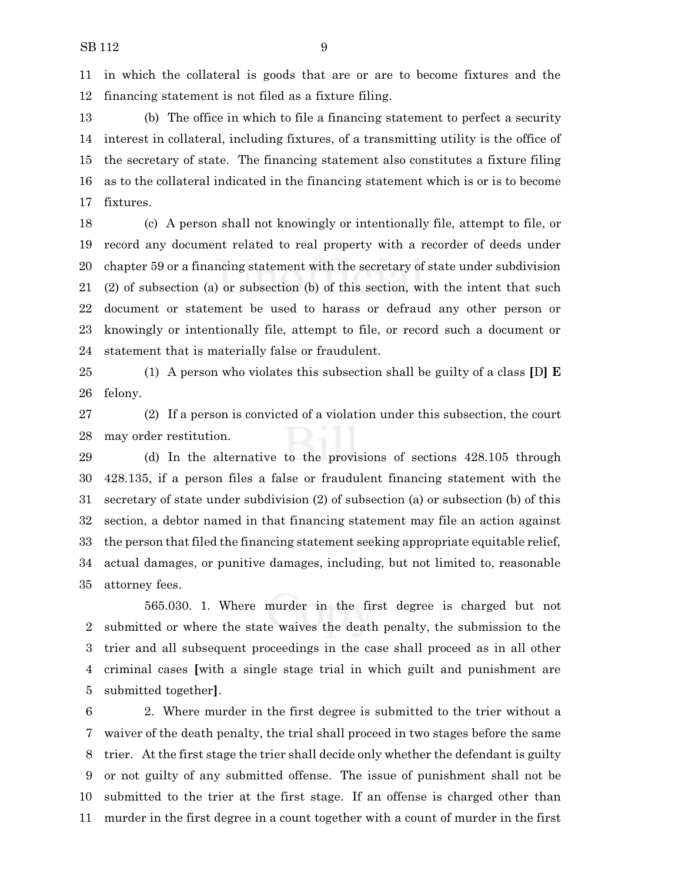in which the collateral is goods that are or are to become fixtures and the financing statement is not filed as a fixture filing.

 (b) The office in which to file a financing statement to perfect a security interest in collateral, including fixtures, of a transmitting utility is the office of the secretary of state. The financing statement also constitutes a fixture filing as to the collateral indicated in the financing statement which is or is to become fixtures.

 (c) A person shall not knowingly or intentionally file, attempt to file, or record any document related to real property with a recorder of deeds under chapter 59 or a financing statement with the secretary of state under subdivision (2) of subsection (a) or subsection (b) of this section, with the intent that such document or statement be used to harass or defraud any other person or knowingly or intentionally file, attempt to file, or record such a document or statement that is materially false or fraudulent.

 (1) A person who violates this subsection shall be guilty of a class **[**D**] E** felony.

 (2) If a person is convicted of a violation under this subsection, the court may order restitution.

 (d) In the alternative to the provisions of sections 428.105 through 428.135, if a person files a false or fraudulent financing statement with the secretary of state under subdivision (2) of subsection (a) or subsection (b) of this section, a debtor named in that financing statement may file an action against the person that filed the financing statement seeking appropriate equitable relief, actual damages, or punitive damages, including, but not limited to, reasonable attorney fees.

565.030. 1. Where murder in the first degree is charged but not submitted or where the state waives the death penalty, the submission to the trier and all subsequent proceedings in the case shall proceed as in all other criminal cases **[**with a single stage trial in which guilt and punishment are submitted together**]**.

 2. Where murder in the first degree is submitted to the trier without a waiver of the death penalty, the trial shall proceed in two stages before the same trier. At the first stage the trier shall decide only whether the defendant is guilty or not guilty of any submitted offense. The issue of punishment shall not be submitted to the trier at the first stage. If an offense is charged other than murder in the first degree in a count together with a count of murder in the first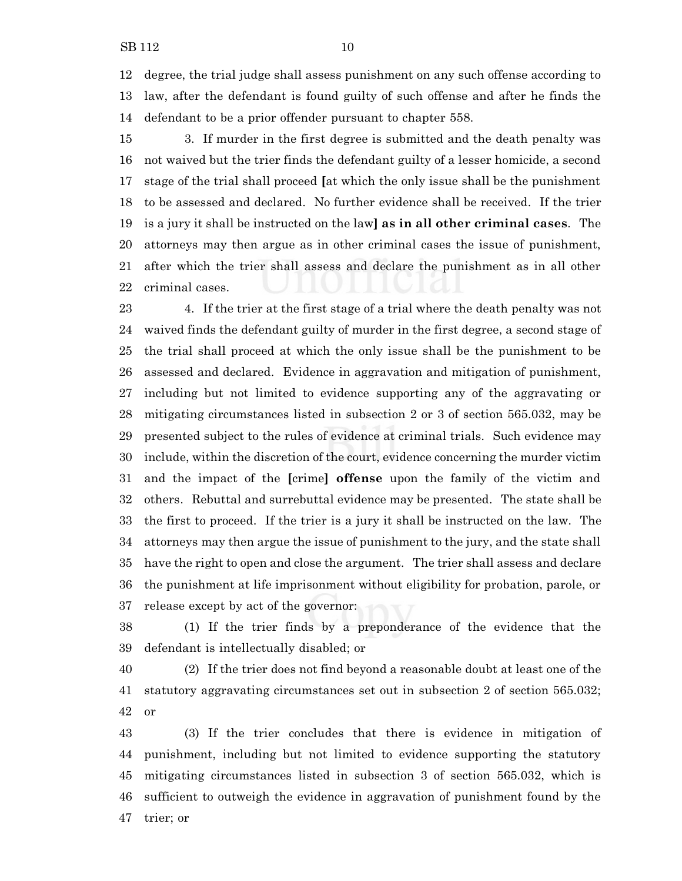degree, the trial judge shall assess punishment on any such offense according to law, after the defendant is found guilty of such offense and after he finds the defendant to be a prior offender pursuant to chapter 558.

 3. If murder in the first degree is submitted and the death penalty was not waived but the trier finds the defendant guilty of a lesser homicide, a second stage of the trial shall proceed **[**at which the only issue shall be the punishment to be assessed and declared. No further evidence shall be received. If the trier is a jury it shall be instructed on the law**] as in all other criminal cases**. The attorneys may then argue as in other criminal cases the issue of punishment, after which the trier shall assess and declare the punishment as in all other criminal cases.

 4. If the trier at the first stage of a trial where the death penalty was not waived finds the defendant guilty of murder in the first degree, a second stage of the trial shall proceed at which the only issue shall be the punishment to be assessed and declared. Evidence in aggravation and mitigation of punishment, including but not limited to evidence supporting any of the aggravating or mitigating circumstances listed in subsection 2 or 3 of section 565.032, may be presented subject to the rules of evidence at criminal trials. Such evidence may include, within the discretion of the court, evidence concerning the murder victim and the impact of the **[**crime**] offense** upon the family of the victim and others. Rebuttal and surrebuttal evidence may be presented. The state shall be the first to proceed. If the trier is a jury it shall be instructed on the law. The attorneys may then argue the issue of punishment to the jury, and the state shall have the right to open and close the argument. The trier shall assess and declare the punishment at life imprisonment without eligibility for probation, parole, or release except by act of the governor:

 (1) If the trier finds by a preponderance of the evidence that the defendant is intellectually disabled; or

 (2) If the trier does not find beyond a reasonable doubt at least one of the statutory aggravating circumstances set out in subsection 2 of section 565.032; or

 (3) If the trier concludes that there is evidence in mitigation of punishment, including but not limited to evidence supporting the statutory mitigating circumstances listed in subsection 3 of section 565.032, which is sufficient to outweigh the evidence in aggravation of punishment found by the trier; or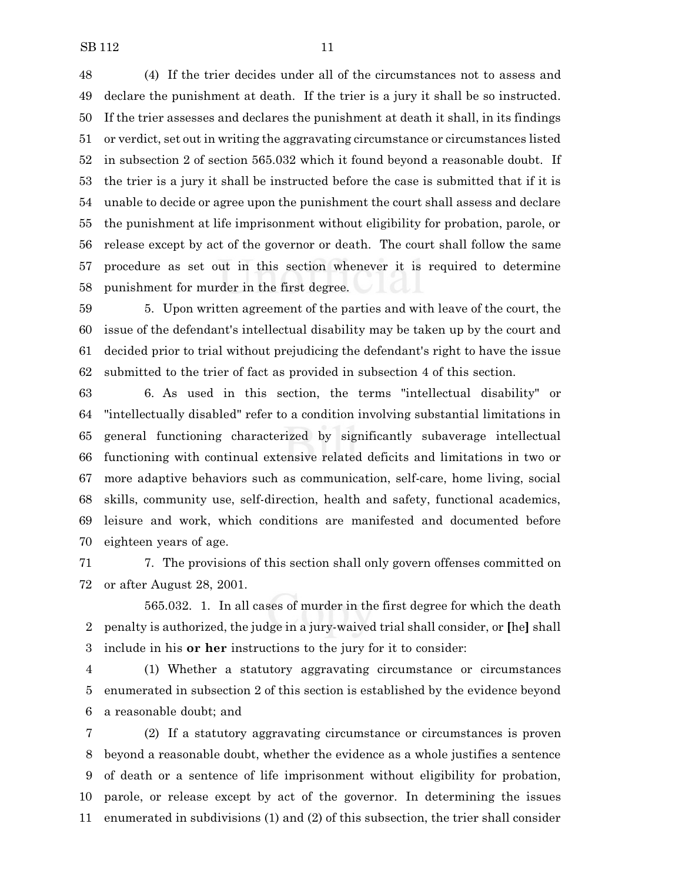(4) If the trier decides under all of the circumstances not to assess and declare the punishment at death. If the trier is a jury it shall be so instructed. If the trier assesses and declares the punishment at death it shall, in its findings or verdict, set out in writing the aggravating circumstance or circumstances listed in subsection 2 of section 565.032 which it found beyond a reasonable doubt. If the trier is a jury it shall be instructed before the case is submitted that if it is unable to decide or agree upon the punishment the court shall assess and declare the punishment at life imprisonment without eligibility for probation, parole, or release except by act of the governor or death. The court shall follow the same procedure as set out in this section whenever it is required to determine punishment for murder in the first degree.

 5. Upon written agreement of the parties and with leave of the court, the issue of the defendant's intellectual disability may be taken up by the court and decided prior to trial without prejudicing the defendant's right to have the issue submitted to the trier of fact as provided in subsection 4 of this section.

 6. As used in this section, the terms "intellectual disability" or "intellectually disabled" refer to a condition involving substantial limitations in general functioning characterized by significantly subaverage intellectual functioning with continual extensive related deficits and limitations in two or more adaptive behaviors such as communication, self-care, home living, social skills, community use, self-direction, health and safety, functional academics, leisure and work, which conditions are manifested and documented before eighteen years of age.

 7. The provisions of this section shall only govern offenses committed on or after August 28, 2001.

565.032. 1. In all cases of murder in the first degree for which the death penalty is authorized, the judge in a jury-waived trial shall consider, or **[**he**]** shall include in his **or her** instructions to the jury for it to consider:

 (1) Whether a statutory aggravating circumstance or circumstances enumerated in subsection 2 of this section is established by the evidence beyond a reasonable doubt; and

 (2) If a statutory aggravating circumstance or circumstances is proven beyond a reasonable doubt, whether the evidence as a whole justifies a sentence of death or a sentence of life imprisonment without eligibility for probation, parole, or release except by act of the governor. In determining the issues enumerated in subdivisions (1) and (2) of this subsection, the trier shall consider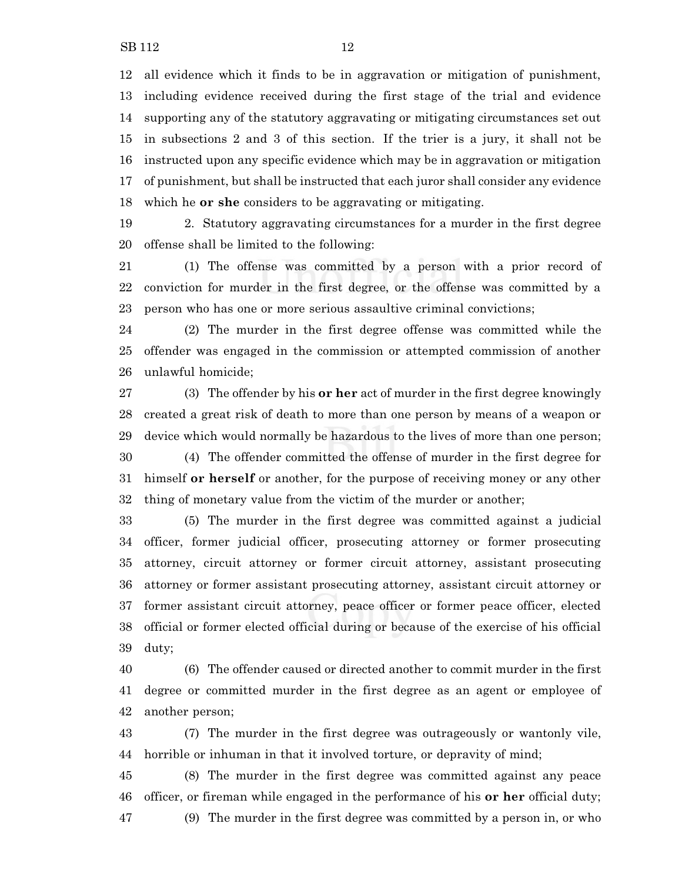all evidence which it finds to be in aggravation or mitigation of punishment, including evidence received during the first stage of the trial and evidence supporting any of the statutory aggravating or mitigating circumstances set out in subsections 2 and 3 of this section. If the trier is a jury, it shall not be instructed upon any specific evidence which may be in aggravation or mitigation of punishment, but shall be instructed that each juror shall consider any evidence which he **or she** considers to be aggravating or mitigating.

 2. Statutory aggravating circumstances for a murder in the first degree offense shall be limited to the following:

 (1) The offense was committed by a person with a prior record of conviction for murder in the first degree, or the offense was committed by a person who has one or more serious assaultive criminal convictions;

 (2) The murder in the first degree offense was committed while the offender was engaged in the commission or attempted commission of another unlawful homicide;

 (3) The offender by his **or her** act of murder in the first degree knowingly created a great risk of death to more than one person by means of a weapon or device which would normally be hazardous to the lives of more than one person; (4) The offender committed the offense of murder in the first degree for

 himself **or herself** or another, for the purpose of receiving money or any other thing of monetary value from the victim of the murder or another;

 (5) The murder in the first degree was committed against a judicial officer, former judicial officer, prosecuting attorney or former prosecuting attorney, circuit attorney or former circuit attorney, assistant prosecuting attorney or former assistant prosecuting attorney, assistant circuit attorney or former assistant circuit attorney, peace officer or former peace officer, elected official or former elected official during or because of the exercise of his official duty;

 (6) The offender caused or directed another to commit murder in the first degree or committed murder in the first degree as an agent or employee of another person;

 (7) The murder in the first degree was outrageously or wantonly vile, horrible or inhuman in that it involved torture, or depravity of mind;

 (8) The murder in the first degree was committed against any peace officer, or fireman while engaged in the performance of his **or her** official duty; (9) The murder in the first degree was committed by a person in, or who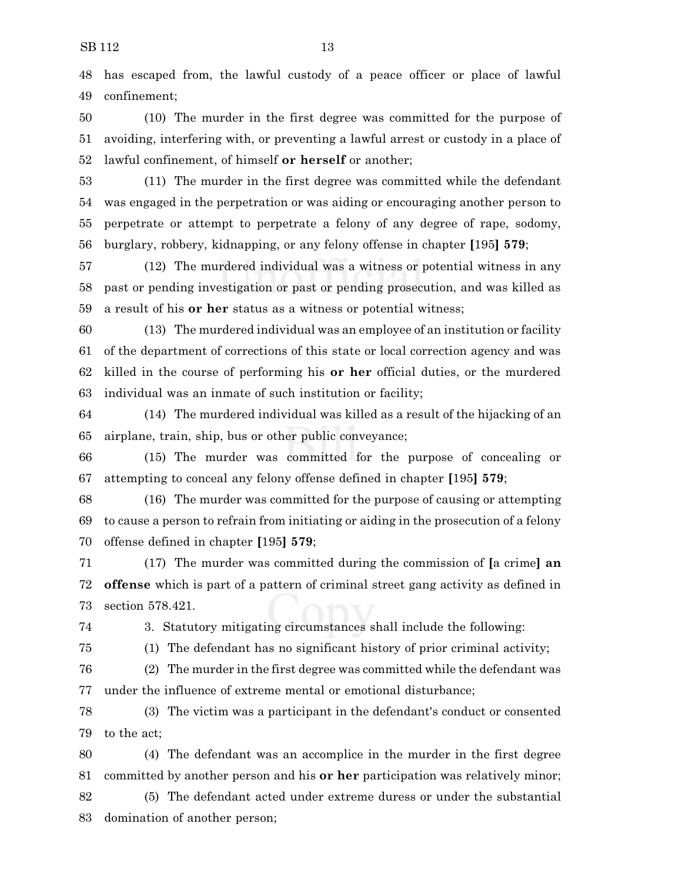has escaped from, the lawful custody of a peace officer or place of lawful confinement;

 (10) The murder in the first degree was committed for the purpose of avoiding, interfering with, or preventing a lawful arrest or custody in a place of lawful confinement, of himself **or herself** or another;

 (11) The murder in the first degree was committed while the defendant was engaged in the perpetration or was aiding or encouraging another person to perpetrate or attempt to perpetrate a felony of any degree of rape, sodomy, burglary, robbery, kidnapping, or any felony offense in chapter **[**195**] 579**;

 (12) The murdered individual was a witness or potential witness in any past or pending investigation or past or pending prosecution, and was killed as a result of his **or her** status as a witness or potential witness;

 (13) The murdered individual was an employee of an institution or facility of the department of corrections of this state or local correction agency and was killed in the course of performing his **or her** official duties, or the murdered individual was an inmate of such institution or facility;

 (14) The murdered individual was killed as a result of the hijacking of an airplane, train, ship, bus or other public conveyance;

 (15) The murder was committed for the purpose of concealing or attempting to conceal any felony offense defined in chapter **[**195**] 579**;

 (16) The murder was committed for the purpose of causing or attempting to cause a person to refrain from initiating or aiding in the prosecution of a felony offense defined in chapter **[**195**] 579**;

 (17) The murder was committed during the commission of **[**a crime**] an offense** which is part of a pattern of criminal street gang activity as defined in section 578.421.

3. Statutory mitigating circumstances shall include the following:

(1) The defendant has no significant history of prior criminal activity;

 (2) The murder in the first degree was committed while the defendant was under the influence of extreme mental or emotional disturbance;

 (3) The victim was a participant in the defendant's conduct or consented to the act;

 (4) The defendant was an accomplice in the murder in the first degree committed by another person and his **or her** participation was relatively minor;

 (5) The defendant acted under extreme duress or under the substantial domination of another person;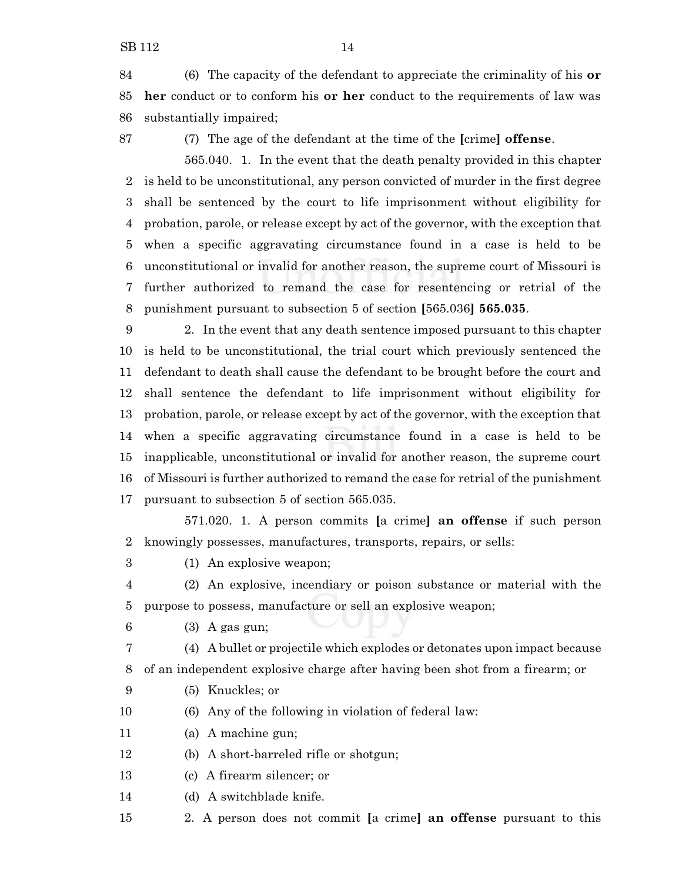(6) The capacity of the defendant to appreciate the criminality of his **or her** conduct or to conform his **or her** conduct to the requirements of law was substantially impaired;

(7) The age of the defendant at the time of the **[**crime**] offense**.

565.040. 1. In the event that the death penalty provided in this chapter is held to be unconstitutional, any person convicted of murder in the first degree shall be sentenced by the court to life imprisonment without eligibility for probation, parole, or release except by act of the governor, with the exception that when a specific aggravating circumstance found in a case is held to be unconstitutional or invalid for another reason, the supreme court of Missouri is further authorized to remand the case for resentencing or retrial of the punishment pursuant to subsection 5 of section **[**565.036**] 565.035**.

 2. In the event that any death sentence imposed pursuant to this chapter is held to be unconstitutional, the trial court which previously sentenced the defendant to death shall cause the defendant to be brought before the court and shall sentence the defendant to life imprisonment without eligibility for probation, parole, or release except by act of the governor, with the exception that when a specific aggravating circumstance found in a case is held to be inapplicable, unconstitutional or invalid for another reason, the supreme court of Missouri is further authorized to remand the case for retrial of the punishment pursuant to subsection 5 of section 565.035.

571.020. 1. A person commits **[**a crime**] an offense** if such person knowingly possesses, manufactures, transports, repairs, or sells:

(1) An explosive weapon;

 (2) An explosive, incendiary or poison substance or material with the purpose to possess, manufacture or sell an explosive weapon;

(3) A gas gun;

 (4) A bullet or projectile which explodes or detonates upon impact because of an independent explosive charge after having been shot from a firearm; or

- (5) Knuckles; or
- (6) Any of the following in violation of federal law:

(a) A machine gun;

- (b) A short-barreled rifle or shotgun;
- (c) A firearm silencer; or

(d) A switchblade knife.

2. A person does not commit **[**a crime**] an offense** pursuant to this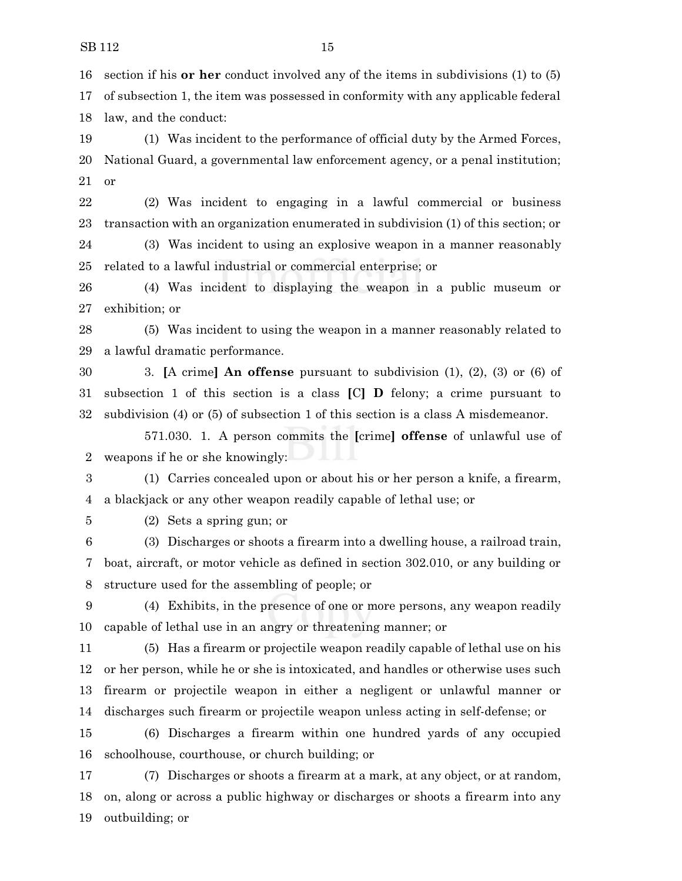section if his **or her** conduct involved any of the items in subdivisions (1) to (5)

 of subsection 1, the item was possessed in conformity with any applicable federal law, and the conduct:

 (1) Was incident to the performance of official duty by the Armed Forces, National Guard, a governmental law enforcement agency, or a penal institution; or

 (2) Was incident to engaging in a lawful commercial or business transaction with an organization enumerated in subdivision (1) of this section; or

 (3) Was incident to using an explosive weapon in a manner reasonably related to a lawful industrial or commercial enterprise; or

 (4) Was incident to displaying the weapon in a public museum or exhibition; or

 (5) Was incident to using the weapon in a manner reasonably related to a lawful dramatic performance.

 3. **[**A crime**] An offense** pursuant to subdivision (1), (2), (3) or (6) of subsection 1 of this section is a class **[**C**] D** felony; a crime pursuant to subdivision (4) or (5) of subsection 1 of this section is a class A misdemeanor.

571.030. 1. A person commits the **[**crime**] offense** of unlawful use of weapons if he or she knowingly:

 (1) Carries concealed upon or about his or her person a knife, a firearm, a blackjack or any other weapon readily capable of lethal use; or

(2) Sets a spring gun; or

 (3) Discharges or shoots a firearm into a dwelling house, a railroad train, boat, aircraft, or motor vehicle as defined in section 302.010, or any building or structure used for the assembling of people; or

 (4) Exhibits, in the presence of one or more persons, any weapon readily capable of lethal use in an angry or threatening manner; or

 (5) Has a firearm or projectile weapon readily capable of lethal use on his or her person, while he or she is intoxicated, and handles or otherwise uses such firearm or projectile weapon in either a negligent or unlawful manner or discharges such firearm or projectile weapon unless acting in self-defense; or

 (6) Discharges a firearm within one hundred yards of any occupied schoolhouse, courthouse, or church building; or

 (7) Discharges or shoots a firearm at a mark, at any object, or at random, on, along or across a public highway or discharges or shoots a firearm into any outbuilding; or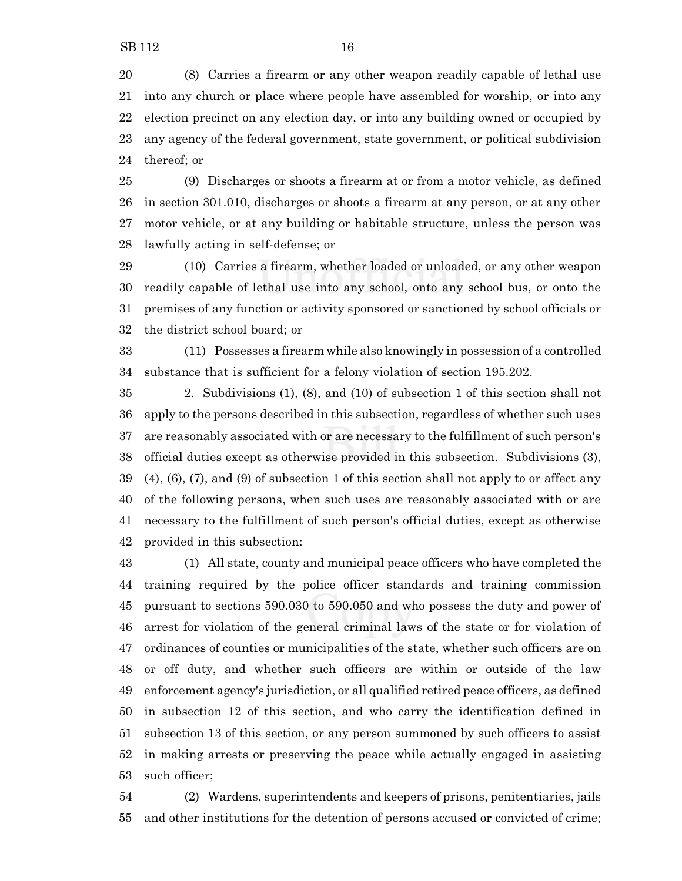(8) Carries a firearm or any other weapon readily capable of lethal use into any church or place where people have assembled for worship, or into any election precinct on any election day, or into any building owned or occupied by any agency of the federal government, state government, or political subdivision thereof; or

 (9) Discharges or shoots a firearm at or from a motor vehicle, as defined in section 301.010, discharges or shoots a firearm at any person, or at any other motor vehicle, or at any building or habitable structure, unless the person was lawfully acting in self-defense; or

 (10) Carries a firearm, whether loaded or unloaded, or any other weapon readily capable of lethal use into any school, onto any school bus, or onto the premises of any function or activity sponsored or sanctioned by school officials or the district school board; or

 (11) Possesses a firearm while also knowingly in possession of a controlled substance that is sufficient for a felony violation of section 195.202.

 2. Subdivisions (1), (8), and (10) of subsection 1 of this section shall not apply to the persons described in this subsection, regardless of whether such uses are reasonably associated with or are necessary to the fulfillment of such person's official duties except as otherwise provided in this subsection. Subdivisions (3), (4), (6), (7), and (9) of subsection 1 of this section shall not apply to or affect any of the following persons, when such uses are reasonably associated with or are necessary to the fulfillment of such person's official duties, except as otherwise provided in this subsection:

 (1) All state, county and municipal peace officers who have completed the training required by the police officer standards and training commission pursuant to sections 590.030 to 590.050 and who possess the duty and power of arrest for violation of the general criminal laws of the state or for violation of ordinances of counties or municipalities of the state, whether such officers are on or off duty, and whether such officers are within or outside of the law enforcement agency's jurisdiction, or all qualified retired peace officers, as defined in subsection 12 of this section, and who carry the identification defined in subsection 13 of this section, or any person summoned by such officers to assist in making arrests or preserving the peace while actually engaged in assisting such officer;

 (2) Wardens, superintendents and keepers of prisons, penitentiaries, jails and other institutions for the detention of persons accused or convicted of crime;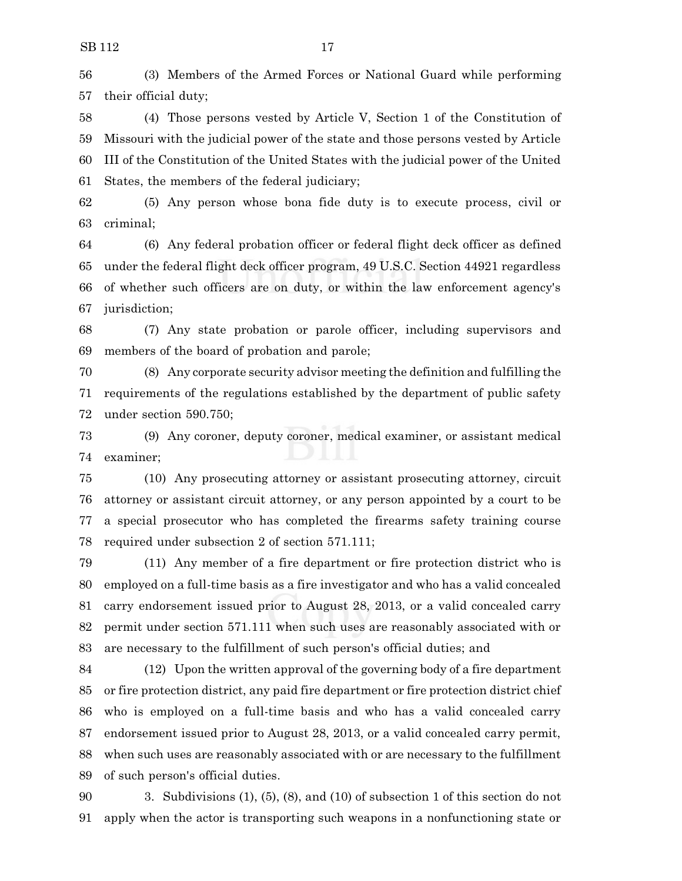(3) Members of the Armed Forces or National Guard while performing their official duty;

 (4) Those persons vested by Article V, Section 1 of the Constitution of Missouri with the judicial power of the state and those persons vested by Article III of the Constitution of the United States with the judicial power of the United States, the members of the federal judiciary;

 (5) Any person whose bona fide duty is to execute process, civil or criminal;

 (6) Any federal probation officer or federal flight deck officer as defined under the federal flight deck officer program, 49 U.S.C. Section 44921 regardless of whether such officers are on duty, or within the law enforcement agency's jurisdiction;

 (7) Any state probation or parole officer, including supervisors and members of the board of probation and parole;

 (8) Any corporate security advisor meeting the definition and fulfilling the requirements of the regulations established by the department of public safety under section 590.750;

 (9) Any coroner, deputy coroner, medical examiner, or assistant medical examiner;

 (10) Any prosecuting attorney or assistant prosecuting attorney, circuit attorney or assistant circuit attorney, or any person appointed by a court to be a special prosecutor who has completed the firearms safety training course required under subsection 2 of section 571.111;

 (11) Any member of a fire department or fire protection district who is employed on a full-time basis as a fire investigator and who has a valid concealed carry endorsement issued prior to August 28, 2013, or a valid concealed carry permit under section 571.111 when such uses are reasonably associated with or are necessary to the fulfillment of such person's official duties; and

 (12) Upon the written approval of the governing body of a fire department or fire protection district, any paid fire department or fire protection district chief who is employed on a full-time basis and who has a valid concealed carry endorsement issued prior to August 28, 2013, or a valid concealed carry permit, when such uses are reasonably associated with or are necessary to the fulfillment of such person's official duties.

 3. Subdivisions (1), (5), (8), and (10) of subsection 1 of this section do not apply when the actor is transporting such weapons in a nonfunctioning state or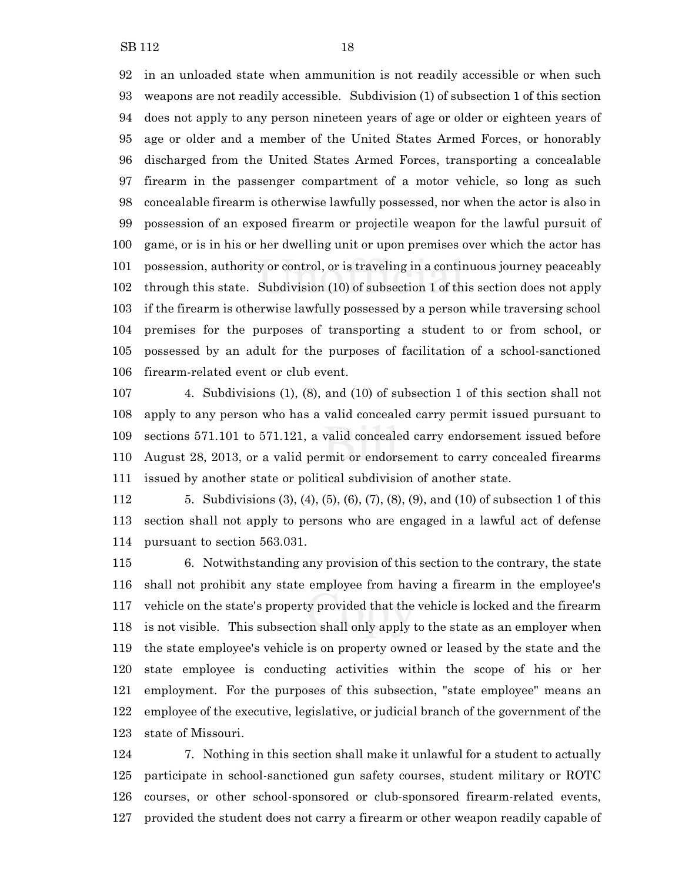in an unloaded state when ammunition is not readily accessible or when such weapons are not readily accessible. Subdivision (1) of subsection 1 of this section does not apply to any person nineteen years of age or older or eighteen years of age or older and a member of the United States Armed Forces, or honorably discharged from the United States Armed Forces, transporting a concealable firearm in the passenger compartment of a motor vehicle, so long as such concealable firearm is otherwise lawfully possessed, nor when the actor is also in possession of an exposed firearm or projectile weapon for the lawful pursuit of game, or is in his or her dwelling unit or upon premises over which the actor has possession, authority or control, or is traveling in a continuous journey peaceably through this state. Subdivision (10) of subsection 1 of this section does not apply if the firearm is otherwise lawfully possessed by a person while traversing school premises for the purposes of transporting a student to or from school, or possessed by an adult for the purposes of facilitation of a school-sanctioned firearm-related event or club event.

 4. Subdivisions (1), (8), and (10) of subsection 1 of this section shall not apply to any person who has a valid concealed carry permit issued pursuant to sections 571.101 to 571.121, a valid concealed carry endorsement issued before August 28, 2013, or a valid permit or endorsement to carry concealed firearms issued by another state or political subdivision of another state.

 5. Subdivisions (3), (4), (5), (6), (7), (8), (9), and (10) of subsection 1 of this section shall not apply to persons who are engaged in a lawful act of defense pursuant to section 563.031.

 6. Notwithstanding any provision of this section to the contrary, the state shall not prohibit any state employee from having a firearm in the employee's vehicle on the state's property provided that the vehicle is locked and the firearm is not visible. This subsection shall only apply to the state as an employer when the state employee's vehicle is on property owned or leased by the state and the state employee is conducting activities within the scope of his or her employment. For the purposes of this subsection, "state employee" means an employee of the executive, legislative, or judicial branch of the government of the state of Missouri.

 7. Nothing in this section shall make it unlawful for a student to actually participate in school-sanctioned gun safety courses, student military or ROTC courses, or other school-sponsored or club-sponsored firearm-related events, provided the student does not carry a firearm or other weapon readily capable of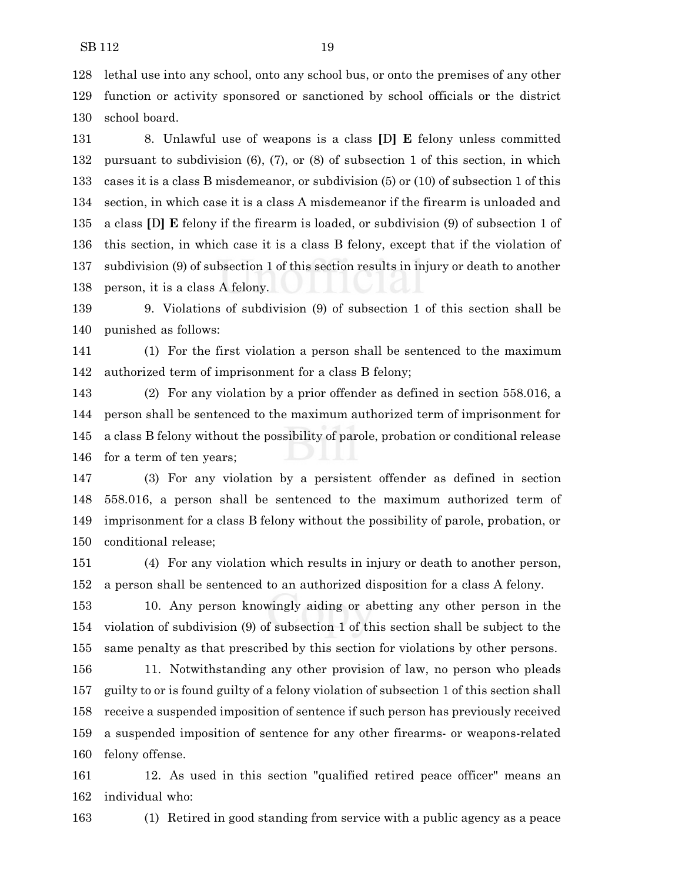lethal use into any school, onto any school bus, or onto the premises of any other function or activity sponsored or sanctioned by school officials or the district school board.

 8. Unlawful use of weapons is a class **[**D**] E** felony unless committed pursuant to subdivision (6), (7), or (8) of subsection 1 of this section, in which cases it is a class B misdemeanor, or subdivision (5) or (10) of subsection 1 of this section, in which case it is a class A misdemeanor if the firearm is unloaded and a class **[**D**] E** felony if the firearm is loaded, or subdivision (9) of subsection 1 of this section, in which case it is a class B felony, except that if the violation of subdivision (9) of subsection 1 of this section results in injury or death to another person, it is a class A felony.

 9. Violations of subdivision (9) of subsection 1 of this section shall be punished as follows:

 (1) For the first violation a person shall be sentenced to the maximum authorized term of imprisonment for a class B felony;

 (2) For any violation by a prior offender as defined in section 558.016, a person shall be sentenced to the maximum authorized term of imprisonment for a class B felony without the possibility of parole, probation or conditional release for a term of ten years;

 (3) For any violation by a persistent offender as defined in section 558.016, a person shall be sentenced to the maximum authorized term of imprisonment for a class B felony without the possibility of parole, probation, or conditional release;

 (4) For any violation which results in injury or death to another person, a person shall be sentenced to an authorized disposition for a class A felony.

 10. Any person knowingly aiding or abetting any other person in the violation of subdivision (9) of subsection 1 of this section shall be subject to the same penalty as that prescribed by this section for violations by other persons.

 11. Notwithstanding any other provision of law, no person who pleads guilty to or is found guilty of a felony violation of subsection 1 of this section shall receive a suspended imposition of sentence if such person has previously received a suspended imposition of sentence for any other firearms- or weapons-related felony offense.

 12. As used in this section "qualified retired peace officer" means an individual who:

(1) Retired in good standing from service with a public agency as a peace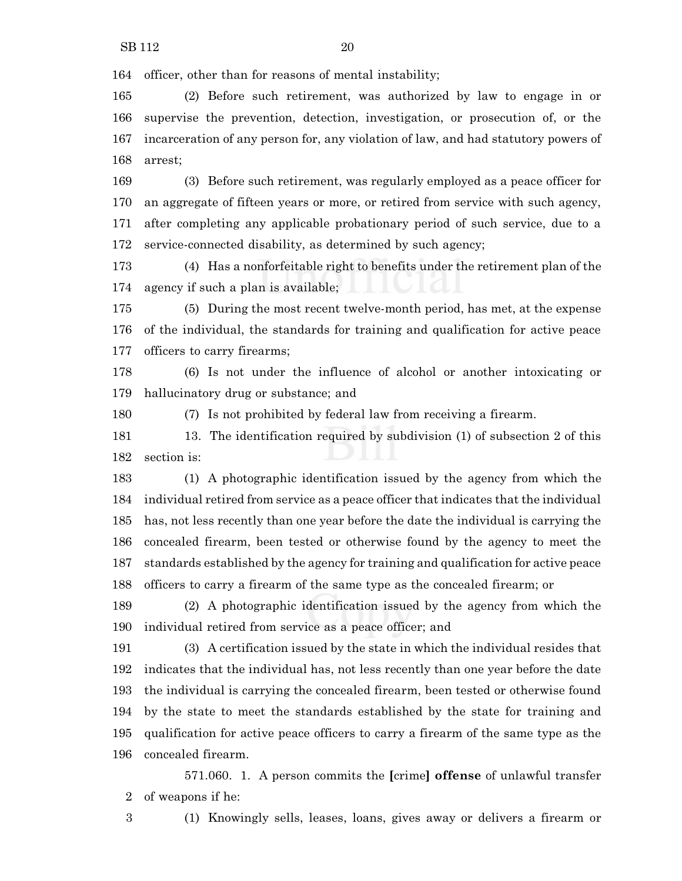officer, other than for reasons of mental instability;

 (2) Before such retirement, was authorized by law to engage in or supervise the prevention, detection, investigation, or prosecution of, or the incarceration of any person for, any violation of law, and had statutory powers of arrest;

 (3) Before such retirement, was regularly employed as a peace officer for an aggregate of fifteen years or more, or retired from service with such agency, after completing any applicable probationary period of such service, due to a service-connected disability, as determined by such agency;

 (4) Has a nonforfeitable right to benefits under the retirement plan of the agency if such a plan is available;

 (5) During the most recent twelve-month period, has met, at the expense of the individual, the standards for training and qualification for active peace officers to carry firearms;

 (6) Is not under the influence of alcohol or another intoxicating or hallucinatory drug or substance; and

(7) Is not prohibited by federal law from receiving a firearm.

 13. The identification required by subdivision (1) of subsection 2 of this section is:

 (1) A photographic identification issued by the agency from which the individual retired from service as a peace officer that indicates that the individual has, not less recently than one year before the date the individual is carrying the concealed firearm, been tested or otherwise found by the agency to meet the standards established by the agency for training and qualification for active peace officers to carry a firearm of the same type as the concealed firearm; or

 (2) A photographic identification issued by the agency from which the individual retired from service as a peace officer; and

 (3) A certification issued by the state in which the individual resides that indicates that the individual has, not less recently than one year before the date the individual is carrying the concealed firearm, been tested or otherwise found by the state to meet the standards established by the state for training and qualification for active peace officers to carry a firearm of the same type as the concealed firearm.

571.060. 1. A person commits the **[**crime**] offense** of unlawful transfer of weapons if he:

(1) Knowingly sells, leases, loans, gives away or delivers a firearm or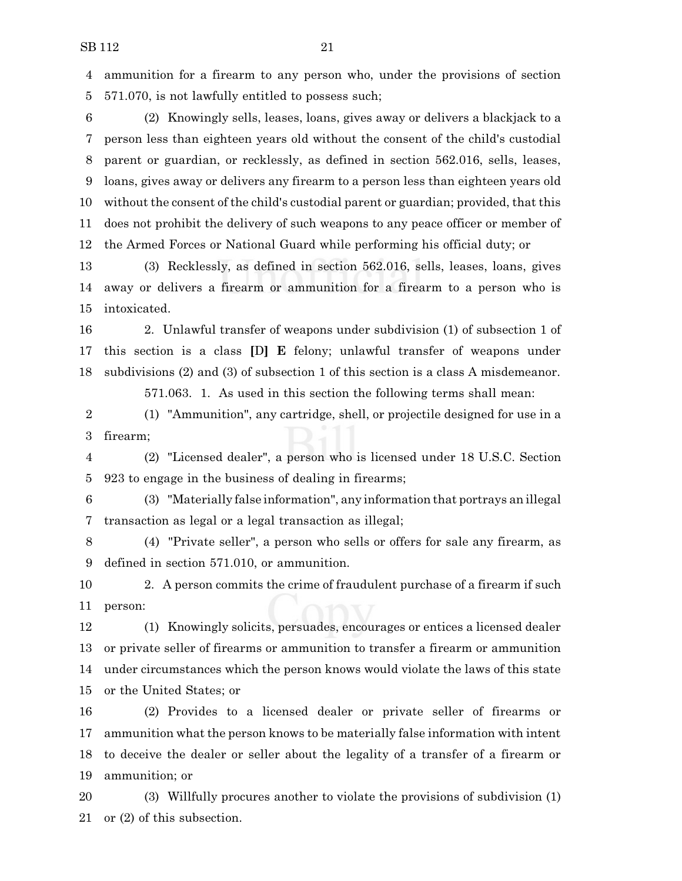ammunition for a firearm to any person who, under the provisions of section 571.070, is not lawfully entitled to possess such;

 (2) Knowingly sells, leases, loans, gives away or delivers a blackjack to a person less than eighteen years old without the consent of the child's custodial parent or guardian, or recklessly, as defined in section 562.016, sells, leases, loans, gives away or delivers any firearm to a person less than eighteen years old without the consent of the child's custodial parent or guardian; provided, that this does not prohibit the delivery of such weapons to any peace officer or member of the Armed Forces or National Guard while performing his official duty; or

 (3) Recklessly, as defined in section 562.016, sells, leases, loans, gives away or delivers a firearm or ammunition for a firearm to a person who is intoxicated.

 2. Unlawful transfer of weapons under subdivision (1) of subsection 1 of this section is a class **[**D**] E** felony; unlawful transfer of weapons under subdivisions (2) and (3) of subsection 1 of this section is a class A misdemeanor.

571.063. 1. As used in this section the following terms shall mean:

 (1) "Ammunition", any cartridge, shell, or projectile designed for use in a firearm;

 (2) "Licensed dealer", a person who is licensed under 18 U.S.C. Section 923 to engage in the business of dealing in firearms;

 (3) "Materially false information", any information that portrays an illegal transaction as legal or a legal transaction as illegal;

 (4) "Private seller", a person who sells or offers for sale any firearm, as defined in section 571.010, or ammunition.

 2. A person commits the crime of fraudulent purchase of a firearm if such person:

 (1) Knowingly solicits, persuades, encourages or entices a licensed dealer or private seller of firearms or ammunition to transfer a firearm or ammunition under circumstances which the person knows would violate the laws of this state or the United States; or

 (2) Provides to a licensed dealer or private seller of firearms or ammunition what the person knows to be materially false information with intent to deceive the dealer or seller about the legality of a transfer of a firearm or ammunition; or

 (3) Willfully procures another to violate the provisions of subdivision (1) or (2) of this subsection.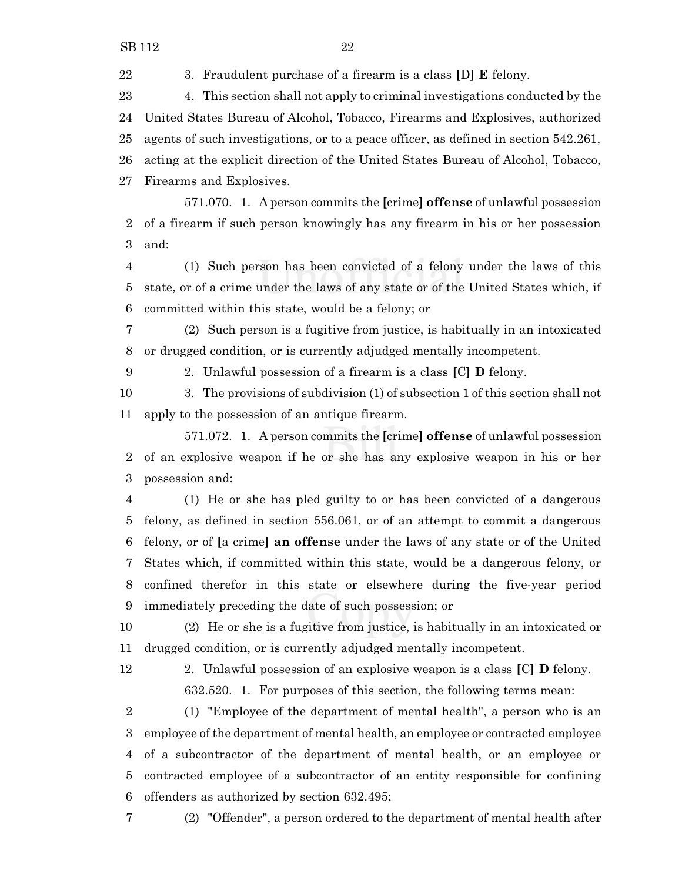3. Fraudulent purchase of a firearm is a class **[**D**] E** felony.

 4. This section shall not apply to criminal investigations conducted by the United States Bureau of Alcohol, Tobacco, Firearms and Explosives, authorized agents of such investigations, or to a peace officer, as defined in section 542.261, acting at the explicit direction of the United States Bureau of Alcohol, Tobacco, Firearms and Explosives.

571.070. 1. A person commits the **[**crime**] offense** of unlawful possession of a firearm if such person knowingly has any firearm in his or her possession and:

 (1) Such person has been convicted of a felony under the laws of this state, or of a crime under the laws of any state or of the United States which, if committed within this state, would be a felony; or

 (2) Such person is a fugitive from justice, is habitually in an intoxicated or drugged condition, or is currently adjudged mentally incompetent.

2. Unlawful possession of a firearm is a class **[**C**] D** felony.

 3. The provisions of subdivision (1) of subsection 1 of this section shall not apply to the possession of an antique firearm.

571.072. 1. A person commits the **[**crime**] offense** of unlawful possession of an explosive weapon if he or she has any explosive weapon in his or her possession and:

 (1) He or she has pled guilty to or has been convicted of a dangerous felony, as defined in section 556.061, or of an attempt to commit a dangerous felony, or of **[**a crime**] an offense** under the laws of any state or of the United States which, if committed within this state, would be a dangerous felony, or confined therefor in this state or elsewhere during the five-year period immediately preceding the date of such possession; or

 (2) He or she is a fugitive from justice, is habitually in an intoxicated or drugged condition, or is currently adjudged mentally incompetent.

 2. Unlawful possession of an explosive weapon is a class **[**C**] D** felony. 632.520. 1. For purposes of this section, the following terms mean:

 (1) "Employee of the department of mental health", a person who is an employee of the department of mental health, an employee or contracted employee of a subcontractor of the department of mental health, or an employee or contracted employee of a subcontractor of an entity responsible for confining offenders as authorized by section 632.495;

(2) "Offender", a person ordered to the department of mental health after